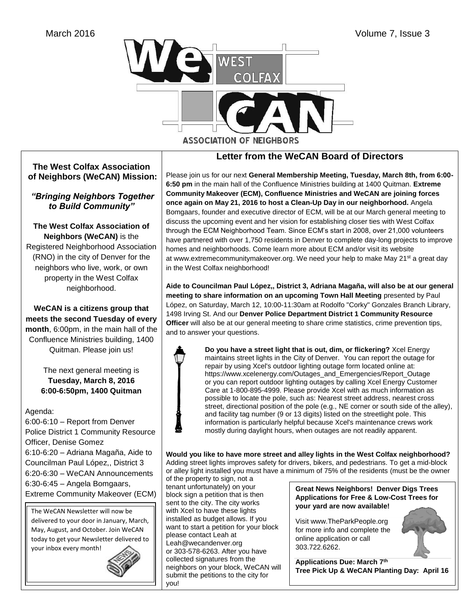

## **Letter from the WeCAN Board of Directors**

Please join us for our next **General Membership Meeting, Tuesday, March 8th, from 6:00- 6:50 pm** in the main hall of the Confluence Ministries building at 1400 Quitman. **Extreme Community Makeover (ECM), Confluence Ministries and WeCAN are joining forces once again on May 21, 2016 to host a Clean-Up Day in our neighborhood.** Angela Bomgaars, founder and executive director of ECM, will be at our March general meeting to discuss the upcoming event and her vision for establishing closer ties with West Colfax through the ECM Neighborhood Team. Since ECM's start in 2008, over 21,000 volunteers have partnered with over 1,750 residents in Denver to complete day-long projects to improve homes and neighborhoods. Come learn more about ECM and/or visit its website at [www.extremecommunitymakeover.org.](http://www.extremecommunitymakeover.org/) We need your help to make May 21<sup>st</sup> a great day in the West Colfax neighborhood!

**Aide to Councilman Paul López,, District 3, Adriana Magaña, will also be at our general meeting to share information on an upcoming Town Hall Meeting** presented by Paul López, on Saturday, March 12, 10:00-11:30am at Rodolfo "Corky" Gonzales Branch Library, 1498 Irving St. And our **Denver Police Department District 1 Community Resource Officer** will also be at our general meeting to share crime statistics, crime prevention tips, and to answer your questions.



 **Do you have a street light that is out, dim, or flickering?** Xcel Energy maintains street lights in the City of Denver. You can report the outage for repair by using Xcel's outdoor lighting outage form located online at: [https://www.xcelenergy.com/Outages\\_and\\_Emergencies/Report\\_Outage](https://www.xcelenergy.com/Outages_and_Emergencies/Report_Outage) or you can report outdoor lighting outages by calling Xcel Energy Customer Care at [1-800-895-4999.](tel:1-800-895-4999) Please provide Xcel with as much information as possible to locate the pole, such as: Nearest street address, nearest cross street, directional position of the pole (e.g., NE corner or south side of the alley), and facility tag number (9 or 13 digits) listed on the streetlight pole. This information is particularly helpful because Xcel's maintenance crews work mostly during daylight hours, when outages are not readily apparent.

**Would you like to have more street and alley lights in the West Colfax neighborhood?** Adding street lights improves safety for drivers, bikers, and pedestrians. To get a mid-block or alley light installed you must have a minimum of 75% of the residents (must be the owner

of the property to sign, not a tenant unfortunately) on your block sign a petition that is then sent to the city. The city works with Xcel to have these lights installed as budget allows. If you want to start a petition for your block please contact Leah at [Leah@wecandenver.org](mailto:Leah@wecandenver.org) or 303-578-6263. After you have collected signatures from the neighbors on your block, WeCAN will submit the petitions to the city for you!

**Great News Neighbors! Denver Digs Trees Applications for Free & Low-Cost Trees for your yard are now available!**

Visit [www.TheParkPeople.org](http://www.theparkpeople.org/)  for more info and complete the online application or call [303.722.6262.](tel:303.722.6262)



**Applications Due: March 7th Tree Pick Up & WeCAN Planting Day: April 16** 

### **The West Colfax Association of Neighbors (WeCAN) Mission:**

*"Bringing Neighbors Together to Build Community"*

**The West Colfax Association of Neighbors (WeCAN)** is the Registered Neighborhood Association (RNO) in the city of Denver for the neighbors who live, work, or own property in the West Colfax neighborhood.

**WeCAN is a citizens group that meets the second Tuesday of every month**, 6:00pm, in the main hall of the Confluence Ministries building, 1400 Quitman. Please join us!

> The next general meeting is **Tuesday, March 8, 2016 6:00-6:50pm, 1400 Quitman**

Agenda:

6:00-6:10 – Report from Denver Police District 1 Community Resource Officer, Denise Gomez 6:10-6:20 – Adriana Magaña, Aide to Councilman Paul López,, District 3 6:20-6:30 – WeCAN Announcements 6:30-6:45 – Angela Bomgaars, Extreme Community Makeover (ECM)

The WeCAN Newsletter will now be delivered to your door in January, March, May, August, and October. Join WeCAN today to get your Newsletter delivered to your inbox every month!